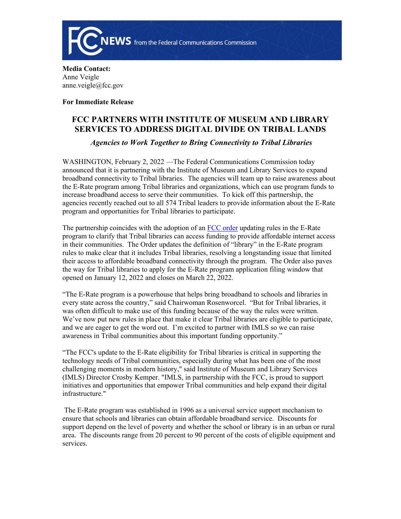

**Media Contact:**  Anne Veigle anne.veigle@fcc.gov

**For Immediate Release**

## **FCC PARTNERS WITH INSTITUTE OF MUSEUM AND LIBRARY SERVICES TO ADDRESS DIGITAL DIVIDE ON TRIBAL LANDS**

## *Agencies to Work Together to Bring Connectivity to Tribal Libraries*

WASHINGTON, February 2, 2022 —The Federal Communications Commission today announced that it is partnering with the Institute of Museum and Library Services to expand broadband connectivity to Tribal libraries. The agencies will team up to raise awareness about the E-Rate program among Tribal libraries and organizations, which can use program funds to increase broadband access to serve their communities. To kick off this partnership, the agencies recently reached out to all 574 Tribal leaders to provide information about the E-Rate program and opportunities for Tribal libraries to participate.

The partnership coincides with the adoption of an [FCC order](https://www.fcc.gov/document/fcc-connecting-tribal-libraries-through-e-rate-program-0) updating rules in the E-Rate program to clarify that Tribal libraries can access funding to provide affordable internet access in their communities. The Order updates the definition of "library" in the E-Rate program rules to make clear that it includes Tribal libraries, resolving a longstanding issue that limited their access to affordable broadband connectivity through the program. The Order also paves the way for Tribal libraries to apply for the E-Rate program application filing window that opened on January 12, 2022 and closes on March 22, 2022.

"The E-Rate program is a powerhouse that helps bring broadband to schools and libraries in every state across the country," said Chairwoman Rosenworcel. "But for Tribal libraries, it was often difficult to make use of this funding because of the way the rules were written. We've now put new rules in place that make it clear Tribal libraries are eligible to participate, and we are eager to get the word out. I'm excited to partner with IMLS so we can raise awareness in Tribal communities about this important funding opportunity."

"The FCC's update to the E-Rate eligibility for Tribal libraries is critical in supporting the technology needs of Tribal communities, especially during what has been one of the most challenging moments in modern history," said Institute of Museum and Library Services (IMLS) Director Crosby Kemper. "IMLS, in partnership with the FCC, is proud to support initiatives and opportunities that empower Tribal communities and help expand their digital infrastructure."

 The E-Rate program was established in 1996 as a universal service support mechanism to ensure that schools and libraries can obtain affordable broadband service. Discounts for support depend on the level of poverty and whether the school or library is in an urban or rural area. The discounts range from 20 percent to 90 percent of the costs of eligible equipment and services.